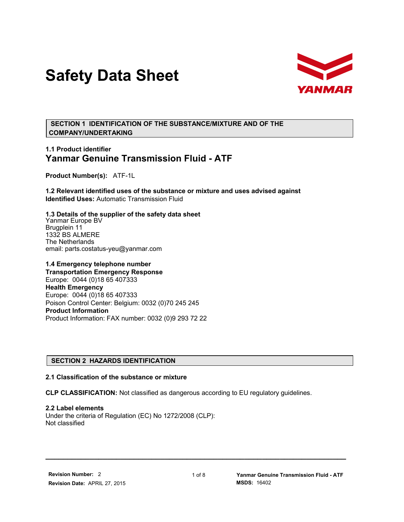# **Safety Data Sheet**



 **SECTION 1 IDENTIFICATION OF THE SUBSTANCE/MIXTURE AND OF THE COMPANY/UNDERTAKING**

# **1.1 Product identifier Yanmar Genuine Transmission Fluid - ATF**

**Product Number(s):** ATF-1L

**1.2 Relevant identified uses of the substance or mixture and uses advised against Identified Uses:** Automatic Transmission Fluid

**1.3 Details of the supplier of the safety data sheet** Yanmar Europe BV Brugplein 11 1332 BS ALMERE The Netherlands email: parts.costatus-yeu@yanmar.com

**1.4 Emergency telephone number Transportation Emergency Response** Europe: 0044 (0)18 65 407333 **Health Emergency** Europe: 0044 (0)18 65 407333 Poison Control Center: Belgium: 0032 (0)70 245 245 **Product Information** Product Information: FAX number: 0032 (0)9 293 72 22

# **SECTION 2 HAZARDS IDENTIFICATION**

#### **2.1 Classification of the substance or mixture**

**CLP CLASSIFICATION:** Not classified as dangerous according to EU regulatory guidelines.

**2.2 Label elements** Under the criteria of Regulation (EC) No 1272/2008 (CLP): Not classified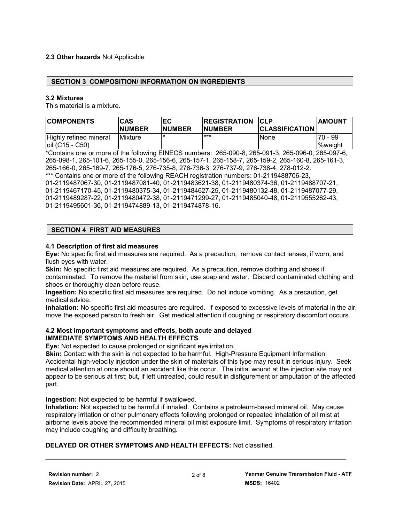# **2.3 Other hazards** Not Applicable

## **SECTION 3 COMPOSITION/ INFORMATION ON INGREDIENTS**

#### **3.2 Mixtures**

This material is a mixture.

| <b>COMPONENTS</b>                            | <b>CAS</b><br><b>NUMBER</b> | ЕC<br><b>NUMBER</b> | <b>REGISTRATION</b><br><b>NUMBER</b> | <b>CLP</b><br><b>CLASSIFICATION</b> | <b>AMOUNT</b>        |
|----------------------------------------------|-----------------------------|---------------------|--------------------------------------|-------------------------------------|----------------------|
| Highly refined mineral<br>$ oil (C15 - C50)$ | <b>IMixture</b>             |                     | ***                                  | None                                | $70 - 99$<br>%weight |

\*Contains one or more of the following EINECS numbers: 265-090-8, 265-091-3, 265-096-0, 265-097-6, 265-098-1, 265-101-6, 265-155-0, 265-156-6, 265-157-1, 265-158-7, 265-159-2, 265-160-8, 265-161-3, 265-166-0, 265-169-7, 265-176-5, 276-735-8, 276-736-3, 276-737-9, 276-738-4, 278-012-2. \*\*\* Contains one or more of the following REACH registration numbers: 01-2119488706-23, 01-2119487067-30, 01-2119487081-40, 01-2119483621-38, 01-2119480374-36, 01-2119488707-21, 01-2119467170-45, 01-2119480375-34, 01-2119484627-25, 01-2119480132-48, 01-2119487077-29, 01-2119489287-22, 01-2119480472-38, 01-2119471299-27, 01-2119485040-48, 01-2119555262-43, 01-2119495601-36, 01-2119474889-13, 01-2119474878-16.

# **SECTION 4 FIRST AID MEASURES**

#### **4.1 Description of first aid measures**

**Eye:** No specific first aid measures are required. As a precaution, remove contact lenses, if worn, and flush eyes with water.

**Skin:** No specific first aid measures are required. As a precaution, remove clothing and shoes if contaminated. To remove the material from skin, use soap and water. Discard contaminated clothing and shoes or thoroughly clean before reuse.

**Ingestion:** No specific first aid measures are required. Do not induce vomiting. As a precaution, get medical advice.

**Inhalation:** No specific first aid measures are required. If exposed to excessive levels of material in the air, move the exposed person to fresh air. Get medical attention if coughing or respiratory discomfort occurs.

#### **4.2 Most important symptoms and effects, both acute and delayed IMMEDIATE SYMPTOMS AND HEALTH EFFECTS**

**Eye:** Not expected to cause prolonged or significant eye irritation.

**Skin:** Contact with the skin is not expected to be harmful. High-Pressure Equipment Information: Accidental high-velocity injection under the skin of materials of this type may result in serious injury. Seek medical attention at once should an accident like this occur. The initial wound at the injection site may not appear to be serious at first; but, if left untreated, could result in disfigurement or amputation of the affected part.

**Ingestion:** Not expected to be harmful if swallowed.

**Inhalation:** Not expected to be harmful if inhaled. Contains a petroleum-based mineral oil. May cause respiratory irritation or other pulmonary effects following prolonged or repeated inhalation of oil mist at airborne levels above the recommended mineral oil mist exposure limit. Symptoms of respiratory irritation may include coughing and difficulty breathing.

# **DELAYED OR OTHER SYMPTOMS AND HEALTH EFFECTS:** Not classified.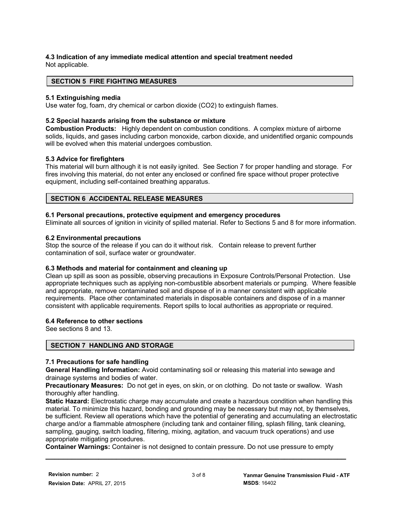#### **4.3 Indication of any immediate medical attention and special treatment needed** Not applicable.

# **SECTION 5 FIRE FIGHTING MEASURES**

# **5.1 Extinguishing media**

Use water fog, foam, dry chemical or carbon dioxide (CO2) to extinguish flames.

## **5.2 Special hazards arising from the substance or mixture**

**Combustion Products:** Highly dependent on combustion conditions. A complex mixture of airborne solids, liquids, and gases including carbon monoxide, carbon dioxide, and unidentified organic compounds will be evolved when this material undergoes combustion.

## **5.3 Advice for firefighters**

This material will burn although it is not easily ignited. See Section 7 for proper handling and storage. For fires involving this material, do not enter any enclosed or confined fire space without proper protective equipment, including self-contained breathing apparatus.

## **SECTION 6 ACCIDENTAL RELEASE MEASURES**

## **6.1 Personal precautions, protective equipment and emergency procedures**

Eliminate all sources of ignition in vicinity of spilled material. Refer to Sections 5 and 8 for more information.

## **6.2 Environmental precautions**

Stop the source of the release if you can do it without risk. Contain release to prevent further contamination of soil, surface water or groundwater.

# **6.3 Methods and material for containment and cleaning up**

Clean up spill as soon as possible, observing precautions in Exposure Controls/Personal Protection. Use appropriate techniques such as applying non-combustible absorbent materials or pumping. Where feasible and appropriate, remove contaminated soil and dispose of in a manner consistent with applicable requirements. Place other contaminated materials in disposable containers and dispose of in a manner consistent with applicable requirements. Report spills to local authorities as appropriate or required.

#### **6.4 Reference to other sections**

See sections 8 and 13.

# **SECTION 7 HANDLING AND STORAGE**

#### **7.1 Precautions for safe handling**

**General Handling Information:** Avoid contaminating soil or releasing this material into sewage and drainage systems and bodies of water.

**Precautionary Measures:** Do not get in eyes, on skin, or on clothing. Do not taste or swallow. Wash thoroughly after handling.

**Static Hazard:** Electrostatic charge may accumulate and create a hazardous condition when handling this material. To minimize this hazard, bonding and grounding may be necessary but may not, by themselves, be sufficient. Review all operations which have the potential of generating and accumulating an electrostatic charge and/or a flammable atmosphere (including tank and container filling, splash filling, tank cleaning, sampling, gauging, switch loading, filtering, mixing, agitation, and vacuum truck operations) and use appropriate mitigating procedures.

**Container Warnings:** Container is not designed to contain pressure. Do not use pressure to empty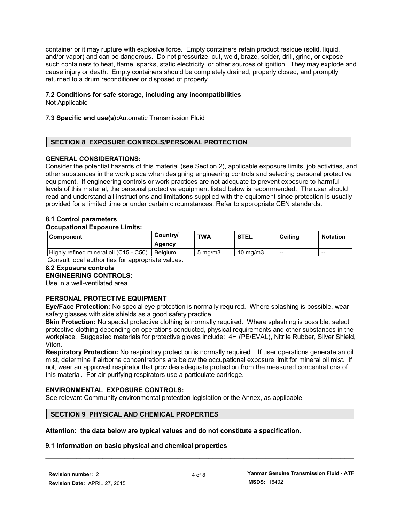container or it may rupture with explosive force. Empty containers retain product residue (solid, liquid, and/or vapor) and can be dangerous. Do not pressurize, cut, weld, braze, solder, drill, grind, or expose such containers to heat, flame, sparks, static electricity, or other sources of ignition. They may explode and cause injury or death. Empty containers should be completely drained, properly closed, and promptly returned to a drum reconditioner or disposed of properly.

# **7.2 Conditions for safe storage, including any incompatibilities**

Not Applicable

## **7.3 Specific end use(s):**Automatic Transmission Fluid

# **SECTION 8 EXPOSURE CONTROLS/PERSONAL PROTECTION**

## **GENERAL CONSIDERATIONS:**

Consider the potential hazards of this material (see Section 2), applicable exposure limits, job activities, and other substances in the work place when designing engineering controls and selecting personal protective equipment. If engineering controls or work practices are not adequate to prevent exposure to harmful levels of this material, the personal protective equipment listed below is recommended. The user should read and understand all instructions and limitations supplied with the equipment since protection is usually provided for a limited time or under certain circumstances. Refer to appropriate CEN standards.

# **8.1 Control parameters**

#### **Occupational Exposure Limits:**

| l Component                            | Country/<br>Agency | <b>TWA</b>         | <b>STEL</b>         | Ceiling                  | <b>Notation</b> |
|----------------------------------------|--------------------|--------------------|---------------------|--------------------------|-----------------|
| Highly refined mineral oil (C15 - C50) | <b>Belaium</b>     | $5 \text{ ma/m}$ 3 | $10 \text{ ma/m}$ 3 | $\overline{\phantom{a}}$ | $- -$           |

Consult local authorities for appropriate values.

# **8.2 Exposure controls**

# **ENGINEERING CONTROLS:**

Use in a well-ventilated area.

# **PERSONAL PROTECTIVE EQUIPMENT**

**Eye/Face Protection:** No special eye protection is normally required. Where splashing is possible, wear safety glasses with side shields as a good safety practice.

**Skin Protection:** No special protective clothing is normally required. Where splashing is possible, select protective clothing depending on operations conducted, physical requirements and other substances in the workplace. Suggested materials for protective gloves include: 4H (PE/EVAL), Nitrile Rubber, Silver Shield, Viton.

**Respiratory Protection:** No respiratory protection is normally required. If user operations generate an oil mist, determine if airborne concentrations are below the occupational exposure limit for mineral oil mist. If not, wear an approved respirator that provides adequate protection from the measured concentrations of this material. For air-purifying respirators use a particulate cartridge.

#### **ENVIRONMENTAL EXPOSURE CONTROLS:**

See relevant Community environmental protection legislation or the Annex, as applicable.

# **SECTION 9 PHYSICAL AND CHEMICAL PROPERTIES**

# **Attention: the data below are typical values and do not constitute a specification.**

#### **9.1 Information on basic physical and chemical properties**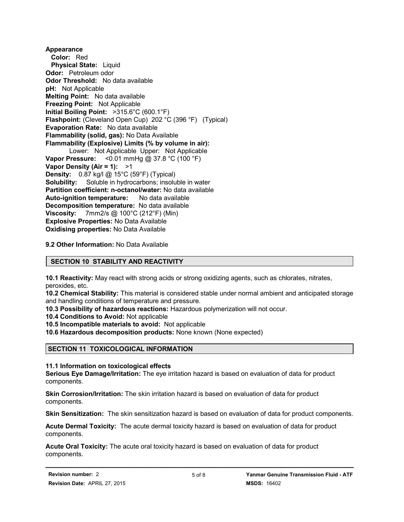**Appearance Color:** Red  **Physical State:** Liquid **Odor:** Petroleum odor **Odor Threshold:** No data available **pH:** Not Applicable **Melting Point:** No data available **Freezing Point:** Not Applicable **Initial Boiling Point:** >315.6°C (600.1°F) **Flashpoint:** (Cleveland Open Cup) 202 °C (396 °F) (Typical) **Evaporation Rate:** No data available **Flammability (solid, gas):** No Data Available **Flammability (Explosive) Limits (% by volume in air):** Lower: Not Applicable Upper: Not Applicable **Vapor Pressure:** <0.01 mmHg @ 37.8 °C (100 °F) **Vapor Density (Air = 1):** >1 **Density:** 0.87 kg/l @ 15°C (59°F) (Typical) **Solubility:** Soluble in hydrocarbons; insoluble in water **Partition coefficient: n-octanol/water:** No data available **Auto-ignition temperature:** No data available **Decomposition temperature:** No data available **Viscosity:** 7mm2/s @ 100°C (212°F) (Min) **Explosive Properties:** No Data Available **Oxidising properties:** No Data Available

**9.2 Other Information:** No Data Available

# **SECTION 10 STABILITY AND REACTIVITY**

**10.1 Reactivity:** May react with strong acids or strong oxidizing agents, such as chlorates, nitrates, peroxides, etc.

**10.2 Chemical Stability:** This material is considered stable under normal ambient and anticipated storage and handling conditions of temperature and pressure.

**10.3 Possibility of hazardous reactions:** Hazardous polymerization will not occur.

**10.4 Conditions to Avoid:** Not applicable

**10.5 Incompatible materials to avoid:** Not applicable

**10.6 Hazardous decomposition products:** None known (None expected)

# **SECTION 11 TOXICOLOGICAL INFORMATION**

**11.1 Information on toxicological effects**

**Serious Eye Damage/Irritation:** The eye irritation hazard is based on evaluation of data for product components.

**Skin Corrosion/Irritation:** The skin irritation hazard is based on evaluation of data for product components.

**Skin Sensitization:** The skin sensitization hazard is based on evaluation of data for product components.

**Acute Dermal Toxicity:** The acute dermal toxicity hazard is based on evaluation of data for product components.

**Acute Oral Toxicity:** The acute oral toxicity hazard is based on evaluation of data for product components.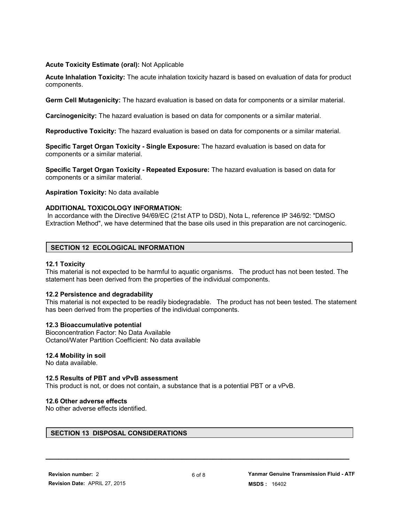#### **Acute Toxicity Estimate (oral):** Not Applicable

**Acute Inhalation Toxicity:** The acute inhalation toxicity hazard is based on evaluation of data for product components.

**Germ Cell Mutagenicity:** The hazard evaluation is based on data for components or a similar material.

**Carcinogenicity:** The hazard evaluation is based on data for components or a similar material.

**Reproductive Toxicity:** The hazard evaluation is based on data for components or a similar material.

**Specific Target Organ Toxicity - Single Exposure:** The hazard evaluation is based on data for components or a similar material.

**Specific Target Organ Toxicity - Repeated Exposure:** The hazard evaluation is based on data for components or a similar material.

**Aspiration Toxicity:** No data available

## **ADDITIONAL TOXICOLOGY INFORMATION:**

 In accordance with the Directive 94/69/EC (21st ATP to DSD), Nota L, reference IP 346/92: "DMSO Extraction Method", we have determined that the base oils used in this preparation are not carcinogenic.

# **SECTION 12 ECOLOGICAL INFORMATION**

## **12.1 Toxicity**

This material is not expected to be harmful to aquatic organisms. The product has not been tested. The statement has been derived from the properties of the individual components.

#### **12.2 Persistence and degradability**

This material is not expected to be readily biodegradable. The product has not been tested. The statement has been derived from the properties of the individual components.

#### **12.3 Bioaccumulative potential**

Bioconcentration Factor: No Data Available Octanol/Water Partition Coefficient: No data available

#### **12.4 Mobility in soil**

No data available.

#### **12.5 Results of PBT and vPvB assessment**

This product is not, or does not contain, a substance that is a potential PBT or a vPvB.

#### **12.6 Other adverse effects**

No other adverse effects identified.

# **SECTION 13 DISPOSAL CONSIDERATIONS**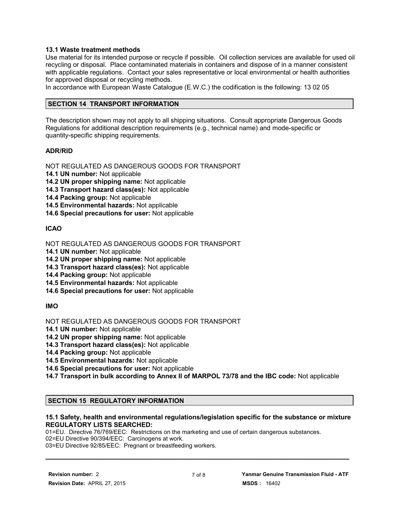## **13.1 Waste treatment methods**

Use material for its intended purpose or recycle if possible. Oil collection services are available for used oil recycling or disposal. Place contaminated materials in containers and dispose of in a manner consistent with applicable regulations. Contact your sales representative or local environmental or health authorities for approved disposal or recycling methods.

In accordance with European Waste Catalogue (E.W.C.) the codification is the following: 13 02 05

#### **SECTION 14 TRANSPORT INFORMATION**

The description shown may not apply to all shipping situations. Consult appropriate Dangerous Goods Regulations for additional description requirements (e.g., technical name) and mode-specific or quantity-specific shipping requirements.

## **ADR/RID**

NOT REGULATED AS DANGEROUS GOODS FOR TRANSPORT

**14.1 UN number:** Not applicable

**14.2 UN proper shipping name:** Not applicable

**14.3 Transport hazard class(es):** Not applicable

**14.4 Packing group:** Not applicable

**14.5 Environmental hazards:** Not applicable

**14.6 Special precautions for user:** Not applicable

# **ICAO**

NOT REGULATED AS DANGEROUS GOODS FOR TRANSPORT

**14.1 UN number:** Not applicable

**14.2 UN proper shipping name:** Not applicable

**14.3 Transport hazard class(es):** Not applicable

**14.4 Packing group:** Not applicable

**14.5 Environmental hazards:** Not applicable

**14.6 Special precautions for user:** Not applicable

#### **IMO**

NOT REGULATED AS DANGEROUS GOODS FOR TRANSPORT

**14.1 UN number:** Not applicable

**14.2 UN proper shipping name:** Not applicable

**14.3 Transport hazard class(es):** Not applicable

**14.4 Packing group:** Not applicable

**14.5 Environmental hazards:** Not applicable

**14.6 Special precautions for user:** Not applicable

**14.7 Transport in bulk according to Annex II of MARPOL 73/78 and the IBC code:** Not applicable

# **SECTION 15 REGULATORY INFORMATION**

## **15.1 Safety, health and environmental regulations/legislation specific for the substance or mixture REGULATORY LISTS SEARCHED:**

01=EU. Directive 76/769/EEC: Restrictions on the marketing and use of certain dangerous substances.

02=EU Directive 90/394/EEC: Carcinogens at work.

03=EU Directive 92/85/EEC: Pregnant or breastfeeding workers.